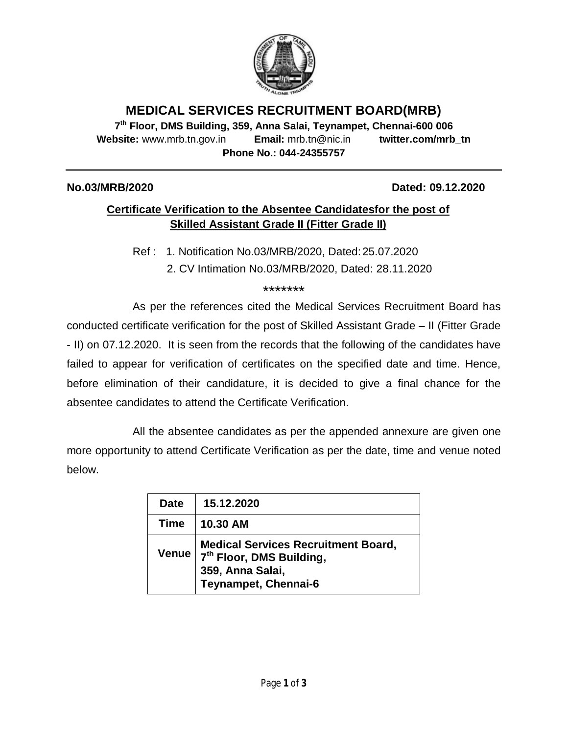

# **MEDICAL SERVICES RECRUITMENT BOARD(MRB)**

**7 th Floor, DMS Building, 359, Anna Salai, Teynampet, Chennai-600 006 Website:** www.mrb.tn.gov.in **Email:** mrb.tn@nic.in **twitter.com/mrb\_tn Phone No.: 044-24355757**

#### **No.03/MRB/2020 Dated: 09.12.2020**

## **Certificate Verification to the Absentee Candidatesfor the post of Skilled Assistant Grade II (Fitter Grade II)**

Ref : 1. Notification No.03/MRB/2020, Dated: 25.07.2020

2. CV Intimation No.03/MRB/2020, Dated: 28.11.2020

\*\*\*\*\*\*\*

As per the references cited the Medical Services Recruitment Board has conducted certificate verification for the post of Skilled Assistant Grade – II (Fitter Grade - II) on 07.12.2020. It is seen from the records that the following of the candidates have failed to appear for verification of certificates on the specified date and time. Hence, before elimination of their candidature, it is decided to give a final chance for the absentee candidates to attend the Certificate Verification.

All the absentee candidates as per the appended annexure are given one more opportunity to attend Certificate Verification as per the date, time and venue noted below.

| <b>Date</b> | 15.12.2020                                                                                                                     |
|-------------|--------------------------------------------------------------------------------------------------------------------------------|
| Time        | 10.30 AM                                                                                                                       |
| Venue       | <b>Medical Services Recruitment Board,</b><br>7 <sup>th</sup> Floor, DMS Building,<br>359, Anna Salai,<br>Teynampet, Chennai-6 |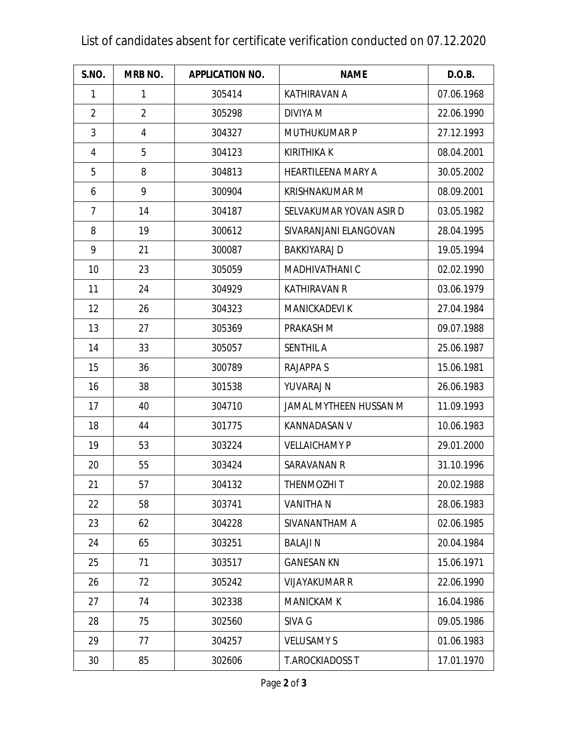# List of candidates absent for certificate verification conducted on 07.12.2020

| S.NO.          | <b>MRB NO.</b> | <b>APPLICATION NO.</b> | <b>NAME</b>               | D.O.B.     |
|----------------|----------------|------------------------|---------------------------|------------|
| 1              | $\mathbf{1}$   | 305414                 | <b>KATHIRAVAN A</b>       | 07.06.1968 |
| $\overline{2}$ | $\overline{2}$ | 305298                 | DIVIYA M                  | 22.06.1990 |
| 3              | $\overline{4}$ | 304327                 | <b>MUTHUKUMAR P</b>       | 27.12.1993 |
| 4              | 5              | 304123                 | <b>KIRITHIKA K</b>        | 08.04.2001 |
| 5              | 8              | 304813                 | <b>HEARTILEENA MARY A</b> | 30.05.2002 |
| 6              | 9              | 300904                 | <b>KRISHNAKUMAR M</b>     | 08.09.2001 |
| $\overline{7}$ | 14             | 304187                 | SELVAKUMAR YOVAN ASIR D   | 03.05.1982 |
| 8              | 19             | 300612                 | SIVARANJANI ELANGOVAN     | 28.04.1995 |
| 9              | 21             | 300087                 | <b>BAKKIYARAJ D</b>       | 19.05.1994 |
| 10             | 23             | 305059                 | MADHIVATHANI C            | 02.02.1990 |
| 11             | 24             | 304929                 | <b>KATHIRAVAN R</b>       | 03.06.1979 |
| 12             | 26             | 304323                 | <b>MANICKADEVI K</b>      | 27.04.1984 |
| 13             | 27             | 305369                 | PRAKASH M                 | 09.07.1988 |
| 14             | 33             | 305057                 | <b>SENTHIL A</b>          | 25.06.1987 |
| 15             | 36             | 300789                 | <b>RAJAPPA S</b>          | 15.06.1981 |
| 16             | 38             | 301538                 | YUVARAJ N                 | 26.06.1983 |
| 17             | 40             | 304710                 | JAMAL MYTHEEN HUSSAN M    | 11.09.1993 |
| 18             | 44             | 301775                 | <b>KANNADASAN V</b>       | 10.06.1983 |
| 19             | 53             | 303224                 | <b>VELLAICHAMY P</b>      | 29.01.2000 |
| 20             | 55             | 303424                 | <b>SARAVANAN R</b>        | 31.10.1996 |
| 21             | 57             | 304132                 | THENMOZHI T               | 20.02.1988 |
| 22             | 58             | 303741                 | <b>VANITHA N</b>          | 28.06.1983 |
| 23             | 62             | 304228                 | SIVANANTHAM A             | 02.06.1985 |
| 24             | 65             | 303251                 | <b>BALAJIN</b>            | 20.04.1984 |
| 25             | 71             | 303517                 | <b>GANESAN KN</b>         | 15.06.1971 |
| 26             | 72             | 305242                 | <b>VIJAYAKUMAR R</b>      | 22.06.1990 |
| 27             | 74             | 302338                 | <b>MANICKAM K</b>         | 16.04.1986 |
| 28             | 75             | 302560                 | SIVA G                    | 09.05.1986 |
| 29             | 77             | 304257                 | <b>VELUSAMY S</b>         | 01.06.1983 |
| 30             | 85             | 302606                 | <b>T.AROCKIADOSS T</b>    | 17.01.1970 |